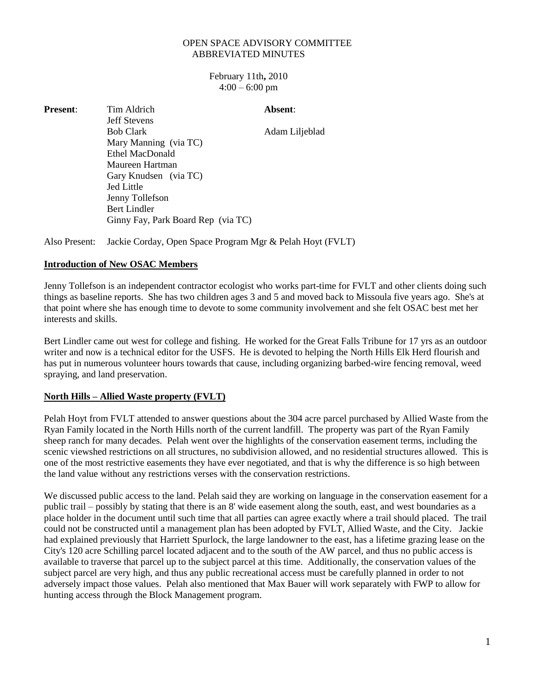## OPEN SPACE ADVISORY COMMITTEE ABBREVIATED MINUTES

February 11th**,** 2010  $4:00 - 6:00$  pm

| <b>Present:</b> | Tim Aldrich                        | Absent:        |
|-----------------|------------------------------------|----------------|
|                 | <b>Jeff Stevens</b>                |                |
|                 | <b>Bob Clark</b>                   | Adam Liljeblad |
|                 | Mary Manning (via TC)              |                |
|                 | Ethel MacDonald                    |                |
|                 | Maureen Hartman                    |                |
|                 | Gary Knudsen (via TC)              |                |
|                 | Jed Little                         |                |
|                 | Jenny Tollefson                    |                |
|                 | <b>Bert Lindler</b>                |                |
|                 | Ginny Fay, Park Board Rep (via TC) |                |
|                 |                                    |                |

Also Present: Jackie Corday, Open Space Program Mgr & Pelah Hoyt (FVLT)

## **Introduction of New OSAC Members**

Jenny Tollefson is an independent contractor ecologist who works part-time for FVLT and other clients doing such things as baseline reports. She has two children ages 3 and 5 and moved back to Missoula five years ago. She's at that point where she has enough time to devote to some community involvement and she felt OSAC best met her interests and skills.

Bert Lindler came out west for college and fishing. He worked for the Great Falls Tribune for 17 yrs as an outdoor writer and now is a technical editor for the USFS. He is devoted to helping the North Hills Elk Herd flourish and has put in numerous volunteer hours towards that cause, including organizing barbed-wire fencing removal, weed spraying, and land preservation.

## **North Hills – Allied Waste property (FVLT)**

Pelah Hoyt from FVLT attended to answer questions about the 304 acre parcel purchased by Allied Waste from the Ryan Family located in the North Hills north of the current landfill. The property was part of the Ryan Family sheep ranch for many decades. Pelah went over the highlights of the conservation easement terms, including the scenic viewshed restrictions on all structures, no subdivision allowed, and no residential structures allowed. This is one of the most restrictive easements they have ever negotiated, and that is why the difference is so high between the land value without any restrictions verses with the conservation restrictions.

We discussed public access to the land. Pelah said they are working on language in the conservation easement for a public trail – possibly by stating that there is an 8' wide easement along the south, east, and west boundaries as a place holder in the document until such time that all parties can agree exactly where a trail should placed. The trail could not be constructed until a management plan has been adopted by FVLT, Allied Waste, and the City. Jackie had explained previously that Harriett Spurlock, the large landowner to the east, has a lifetime grazing lease on the City's 120 acre Schilling parcel located adjacent and to the south of the AW parcel, and thus no public access is available to traverse that parcel up to the subject parcel at this time. Additionally, the conservation values of the subject parcel are very high, and thus any public recreational access must be carefully planned in order to not adversely impact those values. Pelah also mentioned that Max Bauer will work separately with FWP to allow for hunting access through the Block Management program.